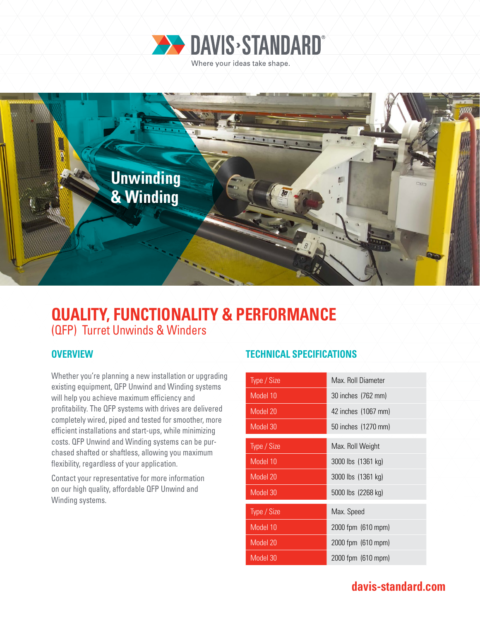



# **QUALITY, FUNCTIONALITY & PERFORMANCE**  (QFP) Turret Unwinds & Winders

Whether you're planning a new installation or upgrading existing equipment, QFP Unwind and Winding systems will help you achieve maximum efficiency and profitability. The QFP systems with drives are delivered completely wired, piped and tested for smoother, more efficient installations and start-ups, while minimizing costs. QFP Unwind and Winding systems can be purchased shafted or shaftless, allowing you maximum flexibility, regardless of your application.

Contact your representative for more information on our high quality, affordable QFP Unwind and Winding systems.

### **OVERVIEW AND ACCEPT AND ACCEPT ACCEPT ACCEPT ACCEPT ACCEPT ACCEPT ACCEPT ACCEPT ACCEPT ACCEPT ACCEPT ACCEPT ACCEPT**

| Type / Size | Max. Roll Diameter  |
|-------------|---------------------|
| Model 10    | 30 inches (762 mm)  |
| Model 20    | 42 inches (1067 mm) |
| Model 30    | 50 inches (1270 mm) |
| Type / Size | Max. Roll Weight    |
| Model 10    | 3000 lbs (1361 kg)  |
| Model 20    | 3000 lbs (1361 kg)  |
| Model 30    | 5000 lbs (2268 kg)  |
| Type / Size | Max. Speed          |
| Model 10    | 2000 fpm (610 mpm)  |
| Model 20    | 2000 fpm (610 mpm)  |
| Model 30    | 2000 fpm (610 mpm)  |

## **davis-standard.com**